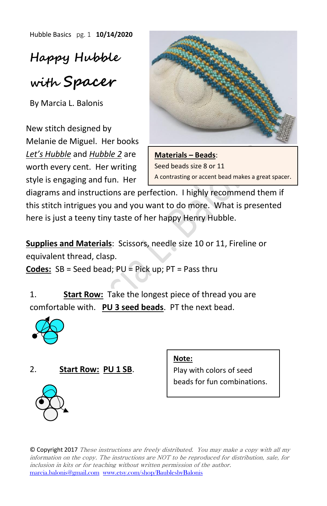Hubble Basics pg. 1 **10/14/2020**

**Happy Hubble with Spacer**

By Marcia L. Balonis

New stitch designed by Melanie de Miguel. Her books *Let's Hubble* and *Hubble 2* are worth every cent. Her writing style is engaging and fun. Her



**Materials – Beads**: Seed beads size 8 or 11 A contrasting or accent bead makes a great spacer.

diagrams and instructions are perfection. I highly recommend them if this stitch intrigues you and you want to do more. What is presented here is just a teeny tiny taste of her happy Henry Hubble.

**Supplies and Materials**: Scissors, needle size 10 or 11, Fireline or equivalent thread, clasp.

**Codes:** SB = Seed bead; PU = Pick up; PT = Pass thru

1. **Start Row:** Take the longest piece of thread you are comfortable with. **PU 3 seed beads**. PT the next bead.



## 2. **Start Row: PU 1 SB**.

**Note:**

Play with colors of seed beads for fun combinations.



© Copyright 2017 These instructions are freely distributed. You may make a copy with all my information on the copy. The instructions are NOT to be reproduced for distribution, sale, for inclusion in kits or for teaching without written permission of the author. [marcia.balonis@gmail.com](mailto:marcia.balonis@gmail.com) [www.etsy.com/shop/BaublesbyBalonis](http://www.etsy.com/shop/BaublesbyBalonis)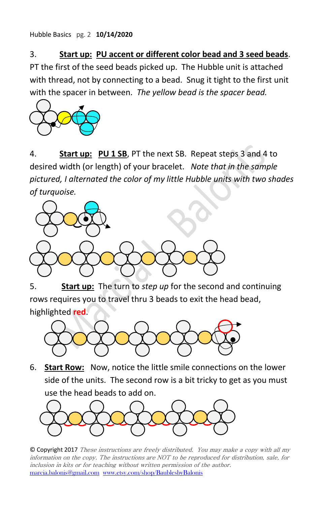Hubble Basics pg. 2 **10/14/2020**

## 3. **Start up: PU accent or different color bead and 3 seed beads**.

PT the first of the seed beads picked up. The Hubble unit is attached with thread, not by connecting to a bead. Snug it tight to the first unit with the spacer in between. *The yellow bead is the spacer bead.*



4. **Start up: PU 1 SB**, PT the next SB. Repeat steps 3 and 4 to desired width (or length) of your bracelet. *Note that in the sample pictured, I alternated the color of my little Hubble units with two shades of turquoise.*



5. **Start up:** The turn to *step up* for the second and continuing rows requires you to travel thru 3 beads to exit the head bead, highlighted **red**.



6. **Start Row:** Now, notice the little smile connections on the lower side of the units. The second row is a bit tricky to get as you must use the head beads to add on.



© Copyright 2017 These instructions are freely distributed. You may make a copy with all my information on the copy. The instructions are NOT to be reproduced for distribution, sale, for inclusion in kits or for teaching without written permission of the author. [marcia.balonis@gmail.com](mailto:marcia.balonis@gmail.com) [www.etsy.com/shop/BaublesbyBalonis](http://www.etsy.com/shop/BaublesbyBalonis)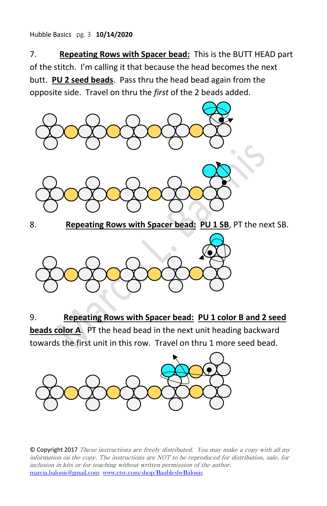## Hubble Basics pg. 3 **10/14/2020**

7. **Repeating Rows with Spacer bead:** This is the BUTT HEAD part of the stitch. I'm calling it that because the head becomes the next butt. **PU 2 seed beads**. Pass thru the head bead again from the opposite side. Travel on thru the *first* of the 2 beads added.



8. **Repeating Rows with Spacer bead: PU 1 SB**, PT the next SB.



9. **Repeating Rows with Spacer bead: PU 1 color B and 2 seed beads color A**. PT the head bead in the next unit heading backward towards the first unit in this row. Travel on thru 1 more seed bead.



© Copyright 2017 These instructions are freely distributed. You may make a copy with all my information on the copy. The instructions are NOT to be reproduced for distribution, sale, for inclusion in kits or for teaching without written permission of the author. [marcia.balonis@gmail.com](mailto:marcia.balonis@gmail.com) [www.etsy.com/shop/BaublesbyBalonis](http://www.etsy.com/shop/BaublesbyBalonis)